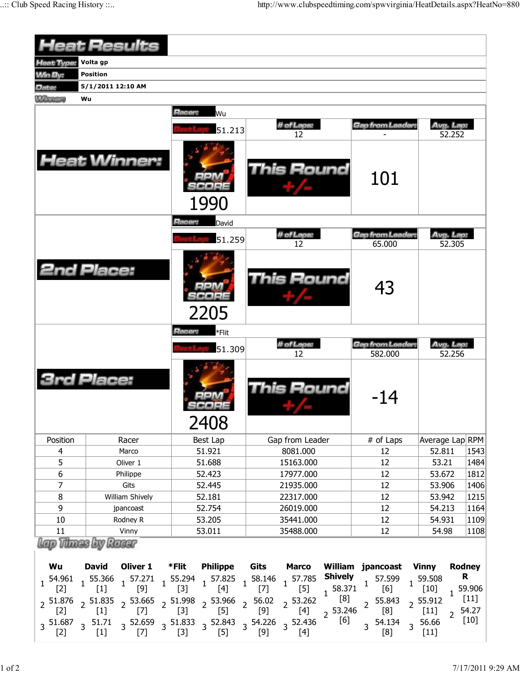|                   | <b>Heat Results</b>                                                                                                                               |                  |                                                                                                                                                                                                                                                 |                             |                                                                                  |  |  |  |  |  |  |  |  |
|-------------------|---------------------------------------------------------------------------------------------------------------------------------------------------|------------------|-------------------------------------------------------------------------------------------------------------------------------------------------------------------------------------------------------------------------------------------------|-----------------------------|----------------------------------------------------------------------------------|--|--|--|--|--|--|--|--|
| Heat Type:        | Volta gp                                                                                                                                          |                  |                                                                                                                                                                                                                                                 |                             |                                                                                  |  |  |  |  |  |  |  |  |
| <b>Win By:</b>    | <b>Position</b>                                                                                                                                   |                  |                                                                                                                                                                                                                                                 |                             |                                                                                  |  |  |  |  |  |  |  |  |
| Date:             | 5/1/2011 12:10 AM                                                                                                                                 |                  |                                                                                                                                                                                                                                                 |                             |                                                                                  |  |  |  |  |  |  |  |  |
| <b>M</b> Therings | Wu                                                                                                                                                |                  |                                                                                                                                                                                                                                                 |                             |                                                                                  |  |  |  |  |  |  |  |  |
|                   |                                                                                                                                                   | Racer:<br>Wu     |                                                                                                                                                                                                                                                 |                             |                                                                                  |  |  |  |  |  |  |  |  |
|                   |                                                                                                                                                   | 51.213           | # of Laps:<br>12                                                                                                                                                                                                                                | Gap from Leader:            | Avg. Lap:<br>52.252                                                              |  |  |  |  |  |  |  |  |
|                   | <b>Heat Winner:</b>                                                                                                                               | 1990             | <b>This Round</b>                                                                                                                                                                                                                               | 101                         |                                                                                  |  |  |  |  |  |  |  |  |
|                   |                                                                                                                                                   | Racer:<br>David  |                                                                                                                                                                                                                                                 |                             |                                                                                  |  |  |  |  |  |  |  |  |
|                   |                                                                                                                                                   | 51.259           | # of Laps:                                                                                                                                                                                                                                      | Gap from Leader:            | Avg. Lap:                                                                        |  |  |  |  |  |  |  |  |
|                   |                                                                                                                                                   |                  | 12                                                                                                                                                                                                                                              | 65.000                      | 52.305                                                                           |  |  |  |  |  |  |  |  |
|                   | <b>2nd Place:</b>                                                                                                                                 | 2205             | <b>This Round</b>                                                                                                                                                                                                                               | 43                          |                                                                                  |  |  |  |  |  |  |  |  |
|                   |                                                                                                                                                   | Racer:<br>*Flit  |                                                                                                                                                                                                                                                 |                             |                                                                                  |  |  |  |  |  |  |  |  |
|                   |                                                                                                                                                   | 51.309           | # of Laps:<br>12                                                                                                                                                                                                                                | Gap from Leader:<br>582.000 | Avg. Lap:<br>52.256                                                              |  |  |  |  |  |  |  |  |
|                   | <b>3rd Place:</b>                                                                                                                                 | 2408             | This Round                                                                                                                                                                                                                                      | -14                         |                                                                                  |  |  |  |  |  |  |  |  |
| Position          | Racer                                                                                                                                             | Best Lap         | Gap from Leader                                                                                                                                                                                                                                 | # of Laps                   | Average Lap RPM                                                                  |  |  |  |  |  |  |  |  |
| 4                 | Marco                                                                                                                                             | 51.921           | 8081.000                                                                                                                                                                                                                                        | 12                          | 52.811<br>1543                                                                   |  |  |  |  |  |  |  |  |
| 5                 | Oliver 1                                                                                                                                          | 51.688           | 15163.000                                                                                                                                                                                                                                       | 12                          | 53.21<br>1484                                                                    |  |  |  |  |  |  |  |  |
| 6                 | Philippe                                                                                                                                          | 52.423           | 17977.000                                                                                                                                                                                                                                       | 12                          | 53.672<br>1812                                                                   |  |  |  |  |  |  |  |  |
| $\overline{7}$    | Gits                                                                                                                                              | 52.445           | 21935.000                                                                                                                                                                                                                                       | 12                          | 53.906<br>1406                                                                   |  |  |  |  |  |  |  |  |
| 8                 | William Shively                                                                                                                                   | 52.181           | 22317.000                                                                                                                                                                                                                                       | 12                          | 53.942<br>1215                                                                   |  |  |  |  |  |  |  |  |
| 9<br>$10\,$       | jpancoast                                                                                                                                         | 52.754           | 26019.000                                                                                                                                                                                                                                       | 12                          | 54.213<br>1164<br>1109<br>54.931                                                 |  |  |  |  |  |  |  |  |
| 11                | Rodney R<br>Vinny                                                                                                                                 | 53.205<br>53.011 | 35441.000<br>35488.000                                                                                                                                                                                                                          | 12<br>12                    | 1108<br>54.98                                                                    |  |  |  |  |  |  |  |  |
|                   | Lap Those by Racar                                                                                                                                |                  |                                                                                                                                                                                                                                                 |                             |                                                                                  |  |  |  |  |  |  |  |  |
| Wu                |                                                                                                                                                   |                  | David Oliver 1 *Flit Philippe Gits Marco William jpancoast Vinny                                                                                                                                                                                |                             | Rodney                                                                           |  |  |  |  |  |  |  |  |
|                   |                                                                                                                                                   |                  | 54.961 1 55.366 1 57.271 1 55.294 1 57.825 1 58.146 1 57.785 <b>Shively</b> 57.599 1 59.508<br>[2] $1 \t{1}$ [1] $1 \t{9}$ [3] $1 \t{4}$ [4] $1 \t{7}$ [5] $1 \t{5}$ 58.371 $1 \t{6}$ 1 $1 \t{10}$                                              |                             | R                                                                                |  |  |  |  |  |  |  |  |
|                   | $3\quad 51.687 \quad 3 \quad 51.71 \qquad 3 \quad 52.659 \qquad 3 \quad 51.833 \qquad 3 \quad 52.843 \qquad 3 \quad 54.226 \qquad 3 \quad 52.436$ |                  | 2 $\frac{51.876}{2}$ 2 $\frac{51.835}{11}$ 2 $\frac{53.665}{2}$ 2 $\frac{51.998}{13}$ 2 $\frac{53.966}{5}$ 2 $\frac{56.02}{19}$ 2 $\frac{53.262}{4}$ $\frac{1}{2}$ $\frac{81}{53.246}$ 2 $\frac{55.843}{18}$ 2 $\frac{55.912}{111}$<br>$^2$ [6] | $3\frac{54.134}{11}$<br>[8] | $1^{59.906}$<br>$[11]$<br>54.27<br>$\overline{2}$<br>$[10]$<br>3 56.66<br>$[11]$ |  |  |  |  |  |  |  |  |